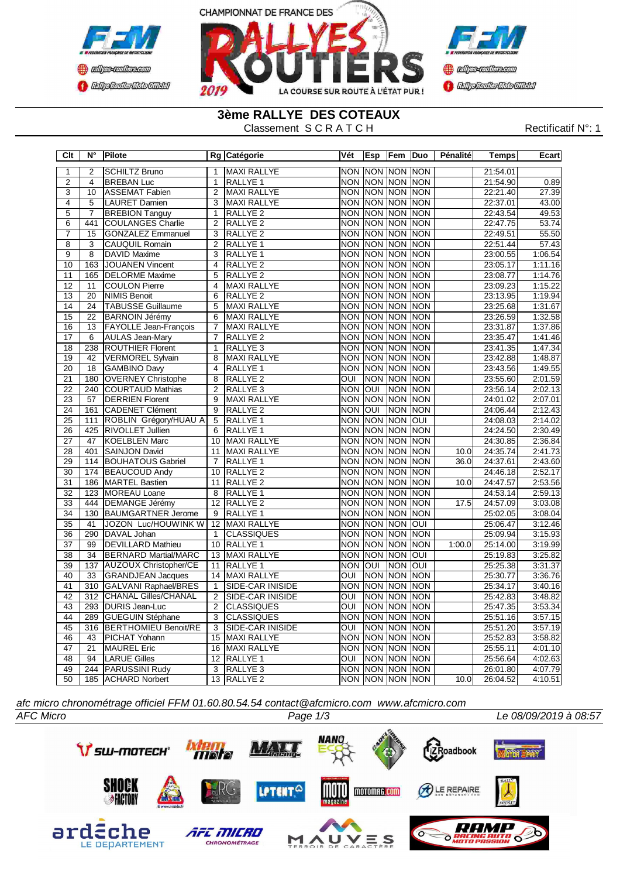



**3ème RALLYE DES COTEAUX**

Classement S C R A T C H Rectificatif N°: 1

| $\overline{C}$ It     | $N^{\circ}$      | <b>Pilote</b>                                |                     | Rg Catégorie                           | Vét                     |            | Esp Fem Duo                |                 | Pénalité | <b>Temps</b>         | Ecart              |
|-----------------------|------------------|----------------------------------------------|---------------------|----------------------------------------|-------------------------|------------|----------------------------|-----------------|----------|----------------------|--------------------|
| $\overline{1}$        | $\overline{2}$   | <b>SCHILTZ Bruno</b>                         | 1                   | <b>MAXI RALLYE</b>                     |                         |            | NON NON NON NON            |                 |          | 21:54.01             |                    |
| $\overline{2}$        | $\overline{4}$   | <b>BREBAN Luc</b>                            | $\mathbf{1}$        | RALLYE <sub>1</sub>                    | $\overline{NON}$        |            | NON NON NON                |                 |          | 21:54.90             | 0.89               |
| $\overline{3}$        | 10               | <b>ASSEMAT Fabien</b>                        | 2                   | <b>MAXI RALLYE</b>                     |                         |            | non Inon Inon Inon         |                 |          | 22:21.40             | 27.39              |
| $\overline{4}$        | 5                | <b>LAURET Damien</b>                         | $\overline{3}$      | <b>MAXI RALLYE</b>                     | <b>NON</b>              |            | NON NON NON                |                 |          | 22:37.01             | 43.00              |
| 5                     | $\overline{7}$   | <b>BREBION Tanguy</b>                        | $\mathbf{1}$        | RALLYE <sub>2</sub>                    | <b>NON</b>              |            | NON NON NON                |                 |          | 22:43.54             | 49.53              |
| $\overline{6}$        | 441              | <b>COULANGES Charlie</b>                     | $\overline{2}$      | RALLYE <sub>2</sub>                    | <b>NON</b>              |            | NON NON NON                |                 |          | 22:47.75             | 53.74              |
| $\overline{7}$        | 15               | <b>GONZALEZ Emmanuel</b>                     | 3                   | RALLYE <sub>2</sub>                    | <b>NON</b>              |            | NON NON NON                |                 |          | 22:49.51             | 55.50              |
| $\overline{8}$        | $\overline{3}$   | <b>CAUQUIL Romain</b>                        | $\overline{2}$      | RALLYE <sub>1</sub>                    | <b>NON</b>              |            | NON NON NON                |                 |          | 22:51.44             | 57.43              |
| $\overline{9}$        | $\overline{8}$   | <b>DAVID Maxime</b>                          | $\overline{3}$      | RALLYE <sub>1</sub>                    | <b>NON</b>              |            | NON NON NON                |                 |          | 23:00.55             | 1:06.54            |
| $\overline{10}$       | 163              | <b>JOUANEN Vincent</b>                       | $\overline{4}$      | <b>RALLYE 2</b>                        |                         |            | NON NON NON NON            |                 |          | 23:05.17             | 1:11.16            |
| 11                    | 165              | <b>DELORME Maxime</b>                        | $\overline{5}$      | RALLYE <sub>2</sub>                    | <b>NON</b>              |            | <b>INON INON INON</b>      |                 |          | 23:08.77             | 1:14.76            |
| 12                    | 11               | <b>COULON Pierre</b>                         | $\overline{4}$      | <b>MAXI RALLYE</b>                     | <b>NON</b>              |            | NON NON NON                |                 |          | 23:09.23             | 1:15.22            |
| 13                    | 20               | <b>NIMIS Benoit</b>                          | 6                   | <b>RALLYE 2</b>                        | <b>NON</b>              |            | NON NON NON                |                 |          | 23:13.95             | 1:19.94            |
| 14                    | $\overline{24}$  | <b>TABUSSE Guillaume</b>                     | $\overline{5}$      | <b>MAXI RALLYE</b>                     |                         |            | NON NON NON NON            |                 |          | 23:25.68             | 1:31.67            |
| 15                    | 22               | <b>BARNOIN Jérémy</b>                        | 6                   | <b>MAXI RALLYE</b>                     | <b>NON</b>              |            | NON NON NON                |                 |          | 23:26.59             | 1:32.58            |
| 16                    | $\overline{13}$  | <b>FAYOLLE Jean-François</b>                 | $\overline{7}$      | <b>MAXI RALLYE</b>                     | <b>NON</b>              |            | NON NON NON                |                 |          | 23:31.87             | 1:37.86            |
| 17                    | 6                | <b>AULAS Jean-Mary</b>                       | $\overline{7}$      | RALLYE <sub>2</sub>                    | <b>NON</b>              |            | <b>NON NON NON</b>         |                 |          | 23:35.47             | 1:41.46            |
| $\overline{18}$       | 238              | <b>ROUTHIER Florent</b>                      | $\mathbf{1}$        | RALLYE <sub>3</sub>                    | <b>NON</b>              |            | NON NON NON                |                 |          | 23:41.35             | 1:47.34            |
| 19                    | $\overline{42}$  | <b>VERMOREL Sylvain</b>                      | $\overline{8}$      | <b>MAXI RALLYE</b>                     |                         |            | NON NON NON NON            |                 |          | 23:42.88             | 1:48.87            |
| $\overline{20}$       | $\overline{18}$  | <b>GAMBINO Davy</b>                          | $\overline{4}$      | RALLYE <sub>1</sub>                    | <b>NON</b>              |            | NON NON NON                |                 |          | 23:43.56             | 1:49.55            |
| $\overline{21}$       | 180              | <b>OVERNEY Christophe</b>                    | $\overline{8}$      | RALLYE <sub>2</sub>                    | $\overline{\text{OUI}}$ |            | NON NON NON                |                 |          | 23:55.60             | 2:01.59            |
| $\overline{22}$       | $\overline{240}$ | <b>COURTAUD Mathias</b>                      | $\overline{2}$      | RALLYE <sub>3</sub>                    | <b>NON</b>              | IOUI       | <b>NON</b>                 | <b>NON</b>      |          | 23:56.14             | 2:02.13            |
| 23                    | $\overline{57}$  | <b>DERRIEN Florent</b>                       | 9                   | <b>MAXI RALLYE</b>                     | <b>NON</b>              |            | NON NON NON                |                 |          | 24:01.02             | 2:07.01            |
| $\overline{24}$       | 161              | <b>CADENET Clément</b>                       | $\overline{9}$      | <b>RALLYE 2</b>                        | <b>NON</b>              | loui       |                            | NON NON         |          | 24:06.44             | 2:12.43            |
| 25                    | 111              | ROBLIN Grégory/HUAU A                        | 5                   | RALLYE 1                               | <b>NON</b>              | <b>NON</b> | <b>NON</b>                 | loui            |          | 24:08.03             | 2:14.02            |
| 26                    | $\overline{425}$ | <b>RIVOLLET Jullien</b>                      | 6                   | <b>RALLYE 1</b>                        |                         |            | NON NON NON NON            |                 |          | 24:24.50             | 2:30.49            |
| 27                    | 47               | <b>KOELBLEN Marc</b>                         | 10                  | <b>MAXI RALLYE</b>                     | <b>NON</b>              |            | NON NON NON                |                 |          | 24:30.85             | 2:36.84            |
| $\overline{28}$       | 401              | <b>SAINJON David</b>                         | 11                  | <b>MAXI RALLYE</b>                     |                         |            | NON NON NON NON            |                 | 10.0     | 24:35.74             | 2:41.73            |
| 29                    | 114              | <b>BOUHATOUS Gabriel</b>                     | $\overline{7}$      | RALLYE <sub>1</sub>                    | <b>NON</b>              |            | NON NON                    | <b>NON</b>      | 36.0     | 24:37.61             | 2:43.60            |
| $\overline{30}$       | 174              | <b>BEAUCOUD Andy</b>                         | 10                  | RALLYE <sub>2</sub>                    | <b>NON</b>              |            | NON NON NON                |                 |          | 24:46.18             | 2:52.17            |
| $\overline{31}$       | 186              | <b>MARTEL Bastien</b>                        | 11                  | RALLYE <sub>2</sub>                    | <b>NON</b>              |            | NON NON                    | <b>NON</b>      | 10.0     | 24:47.57             | 2:53.56            |
| 32                    | 123              | <b>MOREAU Loane</b>                          | 8                   | RALLYE <sub>1</sub>                    |                         |            | NON NON NON NON            |                 |          | 24:53.14             | 2:59.13            |
| $\overline{33}$       | 444              | <b>DEMANGE Jérémy</b>                        |                     | 12 RALLYE 2                            |                         |            | NON NON NON NON            |                 | 17.5     | 24:57.09             | 3:03.08            |
| 34                    | 130              | <b>BAUMGARTNER</b> Jerome                    | 9                   | RALLYE 1                               | <b>NON</b>              |            | NON NON                    | <b>NON</b>      |          | 25:02.05             | 3:08.04            |
| 35                    | 41               | JOZON Luc/HOUWINK W                          | 12                  | <b>MAXI RALLYE</b>                     |                         |            | NON NON NON OUI            |                 |          | 25:06.47             | 3:12.46            |
| 36                    | 290              | DAVAL Johan                                  | $\mathbf{1}$        | <b>CLASSIQUES</b>                      | <b>NON</b>              |            | NON NON NON                |                 |          | 25:09.94             | 3:15.93            |
| 37                    | 99               | <b>DEVILLARD Mathieu</b>                     | 10                  | <b>RALLYE 1</b>                        | <b>NON</b>              |            | NON NON NON                |                 | 1:00.0   | 25:14.00             | 3:19.99            |
| $\overline{38}$       | $\overline{34}$  | <b>BERNARD Martial/MARC</b>                  | 13                  | <b>MAXI RALLYE</b>                     | <b>NON</b>              |            | NON NON                    | loui            |          | 25:19.83             | 3:25.82            |
| $\overline{39}$       | 137              | <b>AUZOUX Christopher/CE</b>                 | 11                  | RALLYE <sub>1</sub>                    | <b>NON</b>              | IOUI       | <b>NON</b>                 | loui            |          | 25:25.38             | 3:31.37            |
| 40                    | $\overline{33}$  | <b>GRANDJEAN Jacques</b>                     | 14                  | <b>MAXI RALLYE</b>                     | $\overline{\text{OUI}}$ |            | <b>NON NON</b>             | <b>NON</b>      |          | 25:30.77             | 3:36.76            |
| 41<br>$\overline{42}$ |                  | 310 GALVANI Raphael/BRES                     | 1<br>$\overline{2}$ | SIDE-CAR INISIDE                       |                         |            | NON NON NON NON            |                 |          | 25:34.17             | 3:40.16<br>3:48.82 |
|                       | 312              | <b>CHANAL Gilles/CHANAL</b>                  | $\overline{2}$      | SIDE-CAR INISIDE                       | $\overline{OUI}$        |            | NON NON NON                |                 |          | 25:42.83             |                    |
| $\overline{43}$       | 293              | <b>DURIS Jean-Luc</b>                        |                     | <b>CLASSIQUES</b>                      | $\overline{\text{out}}$ |            | NON NON NON                |                 |          | 25:47.35             | 3:53.34            |
| 44<br>45              | 289<br>316       | <b>GUEGUIN Stéphane</b>                      | 3<br>3              | <b>CLASSIQUES</b>                      | <b>NON</b><br>OUI       |            | NON NON NON<br>NON NON NON |                 |          | 25:51.16             | 3:57.15            |
| 46                    | 43               | <b>BERTHOMIEU Benoit/RE</b><br>PICHAT Yohann | $\overline{15}$     | SIDE-CAR INISIDE<br><b>MAXI RALLYE</b> |                         |            | NON NON NON NON            |                 |          | 25:51.20<br>25:52.83 | 3:57.19<br>3:58.82 |
| 47                    | 21               | <b>MAUREL Eric</b>                           | 16                  | <b>MAXI RALLYE</b>                     | <b>NON</b>              | <b>NON</b> | <b>NON</b>                 | <b>NON</b>      |          | 25:55.11             | 4:01.10            |
| 48                    | 94               | <b>LARUE Gilles</b>                          | 12                  | <b>RALLYE1</b>                         | ОUІ                     |            | NON NON NON                |                 |          | 25:56.64             | 4:02.63            |
| 49                    | 244              | PARUSSINI Rudy                               | 3                   | RALLYE <sub>3</sub>                    | <b>NON</b>              |            | NON NON NON                |                 |          | 26:01.80             | 4:07.79            |
| $\overline{50}$       | 185              | <b>ACHARD Norbert</b>                        |                     | 13 RALLYE 2                            |                         |            |                            | NON NON NON NON | 10.0     | 26:04.52             | 4:10.51            |
|                       |                  |                                              |                     |                                        |                         |            |                            |                 |          |                      |                    |

*afc micro chronométrage officiel FFM 01.60.80.54.54 contact@afcmicro.com www.afcmicro.com*

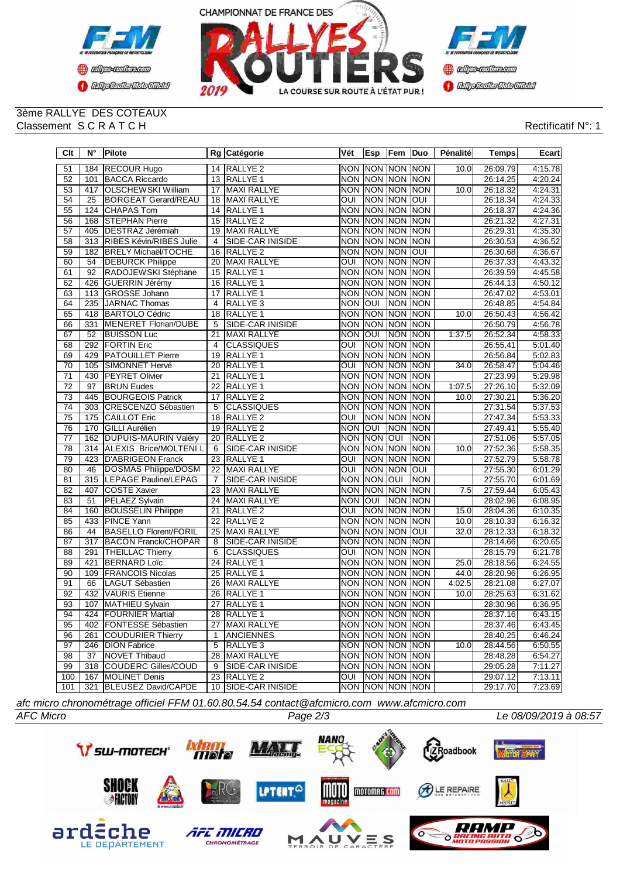



#### 3ème RALLYE DES COTEAUX Classement S C R A T C H Rectificatif N°: 1

| $\overline{C}$ It | $N^{\circ}$      | <b>Pilote</b>                |                 | Rg Catégorie            | Vét                     | <b>Esp</b>  | Fem                   | Duo                              | Pénalité | <b>Temps</b> | Ecart   |
|-------------------|------------------|------------------------------|-----------------|-------------------------|-------------------------|-------------|-----------------------|----------------------------------|----------|--------------|---------|
| 51                | 184              | <b>RECOUR Hugo</b>           |                 | 14 RALLYE 2             | <b>NON</b>              |             | NON NON NON           |                                  | 10.0     | 26:09.79     | 4:15.78 |
| 52                | 101              | <b>BACCA Riccardo</b>        | 13              | <b>RALLYE 1</b>         | <b>NON</b>              |             | <b>INON INON INON</b> |                                  |          | 26:14.25     | 4:20.24 |
| 53                | 417              | <b>OLSCHEWSKI William</b>    | 17              | <b>MAXI RALLYE</b>      |                         |             | NON NON NON NON       |                                  | 10.0     | 26:18.32     | 4:24.31 |
| 54                | $\overline{25}$  | <b>BORGEAT Gerard/REAU</b>   | 18              | <b>MAXI RALLYE</b>      | $\overline{O}$          |             | NON NON OUI           |                                  |          | 26:18.34     | 4:24.33 |
| $\overline{55}$   | 124              | <b>CHAPAS Tom</b>            | 14              | <b>RALLYE 1</b>         | <b>NON</b>              |             | NON NON NON           |                                  |          | 26:18.37     | 4:24.36 |
| 56                | 168              | <b>STEPHAN Pierre</b>        | 15              | RALLYE <sub>2</sub>     | <b>NON</b>              |             | NON NON NON           |                                  |          | 26:21.32     | 4:27.31 |
| $\overline{57}$   | 405              | <b>DESTRAZ Jérémiah</b>      | $\overline{19}$ | <b>MAXI RALLYE</b>      | <b>NON</b>              |             | NON NON NON           |                                  |          | 26:29.31     | 4:35.30 |
| 58                | 313              | RIBES Kévin/RIBES Julie      | 4               | SIDE-CAR INISIDE        |                         |             | NON NON NON NON       |                                  |          | 26:30.53     | 4:36.52 |
| 59                | 182              | <b>BRELY Michaël/TOCHE</b>   | 16              | RALLYE <sub>2</sub>     | <b>NON</b>              | <b>NON</b>  | NON OUI               |                                  |          | 26:30.68     | 4:36.67 |
| 60                | 54               | <b>DEBURCK Philippe</b>      | $\overline{20}$ | <b>MAXI RALLYE</b>      | OUI                     | <b>NON</b>  | <b>NON</b>            | <b>NON</b>                       |          | 26:37.33     | 4:43.32 |
| 61                | 92               | RADOJEWSKI Stéphane          | 15              | RALLYE <sub>1</sub>     | <b>NON</b>              | <b>INON</b> | NON NON               |                                  |          | 26:39.59     | 4:45.58 |
| 62                | 426              | <b>GUERRIN Jérémy</b>        | 16              | <b>RALLYE 1</b>         | <b>NON</b>              | <b>NON</b>  | <b>NON</b>            | <b>NON</b>                       |          | 26:44.13     | 4:50.12 |
| 63                | 113              | <b>GROSSE Johann</b>         | 17              | <b>RALLYE 1</b>         | <b>NON</b>              | NON NON     |                       | <b>NON</b>                       |          | 26:47.02     | 4:53.01 |
| 64                | 235              | <b>JARNAC Thomas</b>         | 4               | RALLYE <sub>3</sub>     | <b>NON</b>              | loui        |                       | <b>NON NON</b>                   |          | 26:48.85     | 4:54.84 |
| 65                | 418              | <b>BARTOLO Cédric</b>        | $\overline{18}$ | <b>RALLYE 1</b>         | <b>NON</b>              | <b>NON</b>  | NON NON               |                                  | 10.0     | 26:50.43     | 4:56.42 |
| 66                | 331              | <b>MENERET Florian/DUBE</b>  | 5               | SIDE-CAR INISIDE        | <b>NON</b>              |             | NON NON NON           |                                  |          | 26:50.79     | 4:56.78 |
| 67                | $\overline{52}$  | <b>BUISSON Luc</b>           | $\overline{21}$ | <b>MAXI RALLYE</b>      | <b>NON</b>              | <b>OUI</b>  |                       | NON NON                          | 1:37.5   | 26:52.34     | 4:58.33 |
| 68                | 292              | <b>FORTIN Eric</b>           | 4               | <b>CLASSIQUES</b>       | OUI                     | <b>NON</b>  | NON NON               |                                  |          | 26:55.41     | 5:01.40 |
| 69                | 429              | <b>PATOUILLET Pierre</b>     | 19              | <b>RALLYE 1</b>         | <b>NON</b>              |             | NON NON               | <b>NON</b>                       |          | 26:56.84     | 5:02.83 |
| $\overline{70}$   | 105              | SIMONNET Hervé               | 20              | RALLYE <sub>1</sub>     | ОUІ                     |             | NON NON NON           |                                  | 34.0     | 26:58.47     | 5:04.46 |
| 71                | 430              | <b>PEYRET Olivier</b>        | 21              | <b>RALLYE 1</b>         | <b>NON</b>              |             | NON NON NON           |                                  |          | 27:23.99     | 5:29.98 |
| $\overline{72}$   | 97               | <b>BRUN Eudes</b>            | 22              | RALLYE <sub>1</sub>     | <b>NON</b>              | <b>NON</b>  | NON NON               |                                  | 1:07.5   | 27:26.10     | 5:32.09 |
| 73                | 445              | <b>BOURGEOIS Patrick</b>     | 17              | <b>RALLYE 2</b>         | <b>NON</b>              |             | NON NON NON           |                                  | 10.0     | 27:30.21     | 5:36.20 |
| $\overline{74}$   | 303              | CRESCENZO Sébastien          | $\overline{5}$  | <b>CLASSIQUES</b>       |                         |             | NON NON NON NON       |                                  |          | 27:31.54     | 5:37.53 |
| $\overline{75}$   | 175              | <b>CAILLOT Eric</b>          | 18              | <b>RALLYE 2</b>         | $\overline{O}$          |             | NON NON NON           |                                  |          | 27:47.34     | 5:53.33 |
| $\overline{76}$   | 170              | <b>GILLI</b> Aurélien        | 19              | RALLYE <sub>2</sub>     | <b>NON</b>              | lon         | NON NON               |                                  |          | 27:49.41     | 5:55.40 |
| 77                | 162              | <b>DUPUIS-MAURIN Valéry</b>  | 20              | <b>RALLYE 2</b>         | <b>NON</b>              | <b>NON</b>  | lon                   | <b>NON</b>                       |          | 27:51.06     | 5:57.05 |
| $\overline{78}$   | $\overline{314}$ | ALEXIS Brice/MOLTENI L       | $\overline{6}$  | SIDE-CAR INISIDE        | <b>NON</b>              | NON         | <b>NON</b>            | <b>NON</b>                       | 10.0     | 27:52.36     | 5:58.35 |
| 79                | 423              | <b>D'ABRIGEON Franck</b>     | $\overline{23}$ | <b>RALLYE 1</b>         | $\overline{\text{C}}$   |             | NON NON NON           |                                  |          | 27:52.79     | 5:58.78 |
| 80                | 46               | <b>DOSMAS Philippe/DOSM</b>  | $\overline{22}$ | <b>MAXI RALLYE</b>      | $\overline{\text{OUI}}$ | <b>NON</b>  | <b>NON</b>            | $\overline{\overline{\text{O}}}$ |          | 27:55.30     | 6:01.29 |
| 81                | 315              | <b>LEPAGE Pauline/LEPAG</b>  | $\overline{7}$  | SIDE-CAR INISIDE        | <b>NON</b>              | <b>NON</b>  | loui                  | <b>NON</b>                       |          | 27:55.70     | 6:01.69 |
| 82                | 407              | COSTE Xavier                 | 23              | <b>MAXI RALLYE</b>      | <b>NON</b>              |             | NON NON NON           |                                  | 7.5      | 27:59.44     | 6:05.43 |
| 83                | 51               | <b>PELAEZ Sylvain</b>        | $\overline{24}$ | <b>MAXI RALLYE</b>      | <b>NON</b>              | loui        | <b>NON</b>            | <b>NON</b>                       |          | 28:02.96     | 6:08.95 |
| 84                | 160              | <b>BOUSSELIN Philippe</b>    | 21              | RALLYE <sub>2</sub>     | $\overline{\text{OUI}}$ | <b>NON</b>  | <b>NON</b>            | <b>NON</b>                       | 15.0     | 28:04.36     | 6:10.35 |
| 85                | 433              | <b>PINCE Yann</b>            | 22              | <b>RALLYE 2</b>         | <b>NON</b>              |             | NON NON NON           |                                  | 10.0     | 28:10.33     | 6:16.32 |
| 86                | 44               | <b>BASELLO Florent/FORIL</b> | 25              | <b>MAXI RALLYE</b>      | <b>NON</b>              |             | NON NON               | loui                             | 32.0     | 28:12.33     | 6:18.32 |
| 87                | $\overline{317}$ | <b>BACON Franck/CHOPAR</b>   | 8               | SIDE-CAR INISIDE        | <b>NON</b>              |             | NON NON               | <b>NON</b>                       |          | 28:14.66     | 6:20.65 |
| 88                | 291              | <b>THEILLAC Thierry</b>      | 6               | <b>CLASSIQUES</b>       | OUI                     |             | NON NON NON           |                                  |          | 28:15.79     | 6:21.78 |
| 89                | 421              | <b>BERNARD Loïc</b>          | $\overline{24}$ | <b>RALLYE1</b>          | <b>NON</b>              | NON         | <b>NON</b>            | <b>NON</b>                       | 25.0     | 28:18.56     | 6:24.55 |
| 90                | 109              | <b>FRANCOIS Nicolas</b>      | 25              | RALLYE 1                | <b>NON</b>              |             | NON NON NON           |                                  | 44.0     | 28:20.96     | 6:26.95 |
| 91                | 66               | <b>LAGUT Sébastien</b>       | 26              | <b>MAXI RALLYE</b>      | <b>NON</b>              |             | NON NON NON           |                                  | 4:02.5   | 28:21.08     | 6:27.07 |
| 92                | 432              | <b>VAURIS Etienne</b>        | 26              | RALLYE <sub>1</sub>     | <b>NON</b>              | <b>NON</b>  | <b>NON</b>            | <b>NON</b>                       | 10.0     | 28:25.63     | 6:31.62 |
| $\overline{93}$   | 107              | MATHIEU Sylvain              | 27              | <b>RALLYE 1</b>         |                         |             | NON NON NON NON       |                                  |          | 28:30.96     | 6:36.95 |
| 94                |                  | 424 FOURNIER Martial         |                 | 28 RALLYE 1             |                         |             | NON NON NON NON       |                                  |          | 28:37.16     | 6:43.15 |
| 95                |                  | 402   FONTESSE Sébastien     |                 | 27 MAXI RALLYE          |                         |             | NON NON NON NON       |                                  |          | 28:37.46     | 6:43.45 |
| 96                | 261              | <b>COUDURIER Thierry</b>     | 1               | <b>ANCIENNES</b>        |                         |             |                       | NON NON NON NON                  |          | 28:40.25     | 6:46.24 |
| 97                |                  | 246 DION Fabrice             | 5               | RALLYE 3                |                         |             |                       | NON NON NON NON                  | 10.0     | 28:44.56     | 6:50.55 |
| 98                | 37               | <b>NOVET Thibaud</b>         |                 | 28 MAXI RALLYE          |                         |             | NON NON NON NON       |                                  |          | 28:48.28     | 6:54.27 |
| 99                | 318              | <b>COUDERC Gilles/COUD</b>   | 9               | <b>SIDE-CAR INISIDE</b> |                         |             |                       | NON NON NON NON                  |          | 29:05.28     | 7:11.27 |
| 100               | 167              | <b>MOLINET Denis</b>         |                 | 23 RALLYE 2             | OUI                     |             |                       | NON NON NON                      |          | 29:07.12     | 7:13.11 |
| 101               | 321              | <b>BLEUSEZ David/CAPDE</b>   |                 | 10 SIDE-CAR INISIDE     |                         |             |                       | NON NON NON NON                  |          | 29:17.70     | 7:23.69 |

*afc micro chronométrage officiel FFM 01.60.80.54.54 contact@afcmicro.com www.afcmicro.com*